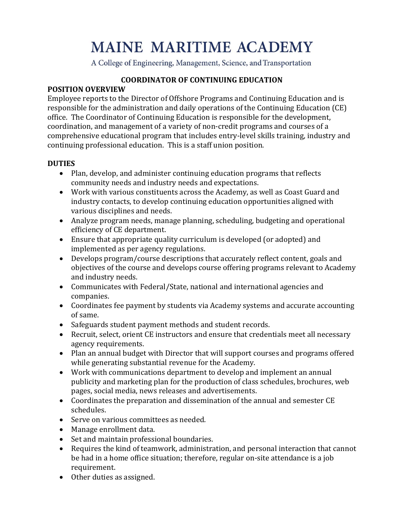# **MAINE MARITIME ACADEMY**

A College of Engineering, Management, Science, and Transportation

#### **COORDINATOR OF CONTINUING EDUCATION**

#### **POSITION OVERVIEW**

Employee reports to the Director of Offshore Programs and Continuing Education and is responsible for the administration and daily operations of the Continuing Education (CE) office. The Coordinator of Continuing Education is responsible for the development, coordination, and management of a variety of non-credit programs and courses of a comprehensive educational program that includes entry-level skills training, industry and continuing professional education. This is a staff union position.

#### **DUTIES**

- Plan, develop, and administer continuing education programs that reflects community needs and industry needs and expectations.
- Work with various constituents across the Academy, as well as Coast Guard and industry contacts, to develop continuing education opportunities aligned with various disciplines and needs.
- Analyze program needs, manage planning, scheduling, budgeting and operational efficiency of CE department.
- Ensure that appropriate quality curriculum is developed (or adopted) and implemented as per agency regulations.
- Develops program/course descriptions that accurately reflect content, goals and objectives of the course and develops course offering programs relevant to Academy and industry needs.
- Communicates with Federal/State, national and international agencies and companies.
- Coordinates fee payment by students via Academy systems and accurate accounting of same.
- Safeguards student payment methods and student records.
- Recruit, select, orient CE instructors and ensure that credentials meet all necessary agency requirements.
- Plan an annual budget with Director that will support courses and programs offered while generating substantial revenue for the Academy.
- Work with communications department to develop and implement an annual publicity and marketing plan for the production of class schedules, brochures, web pages, social media, news releases and advertisements.
- Coordinates the preparation and dissemination of the annual and semester CE schedules.
- Serve on various committees as needed.
- Manage enrollment data.
- Set and maintain professional boundaries.
- Requires the kind of teamwork, administration, and personal interaction that cannot be had in a home office situation; therefore, regular on-site attendance is a job requirement.
- Other duties as assigned.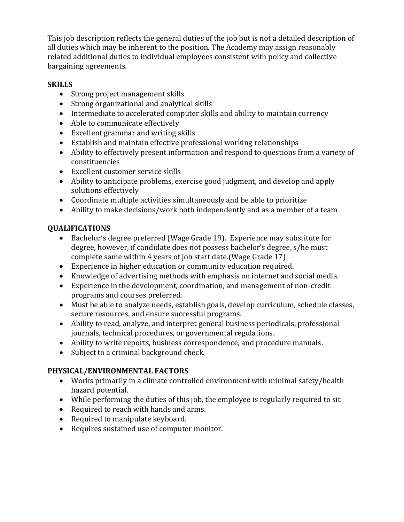This job description reflects the general duties of the job but is not a detailed description of all duties which may be inherent to the position. The Academy may assign reasonably related additional duties to individual employees consistent with policy and collective bargaining agreements.

#### **SKILLS**

- Strong project management skills
- Strong organizational and analytical skills
- Intermediate to accelerated computer skills and ability to maintain currency
- Able to communicate effectively
- Excellent grammar and writing skills
- Establish and maintain effective professional working relationships
- Ability to effectively present information and respond to questions from a variety of constituencies
- Excellent customer service skills
- Ability to anticipate problems, exercise good judgment, and develop and apply solutions effectively
- Coordinate multiple activities simultaneously and be able to prioritize
- Ability to make decisions/work both independently and as a member of a team

### **QUALIFICATIONS**

- Bachelor's degree preferred (Wage Grade 19). Experience may substitute for degree, however, if candidate does not possess bachelor's degree, s/he must complete same within 4 years of job start date.(Wage Grade 17)
- Experience in higher education or community education required.
- Knowledge of advertising methods with emphasis on internet and social media.
- Experience in the development, coordination, and management of non-credit programs and courses preferred.
- Must be able to analyze needs, establish goals, develop curriculum, schedule classes, secure resources, and ensure successful programs.
- Ability to read, analyze, and interpret general business periodicals, professional journals, technical procedures, or governmental regulations.
- Ability to write reports, business correspondence, and procedure manuals.
- Subject to a criminal background check.

## **PHYSICAL/ENVIRONMENTAL FACTORS**

- Works primarily in a climate controlled environment with minimal safety/health hazard potential.
- While performing the duties of this job, the employee is regularly required to sit
- Required to reach with hands and arms.
- Required to manipulate keyboard.
- Requires sustained use of computer monitor.